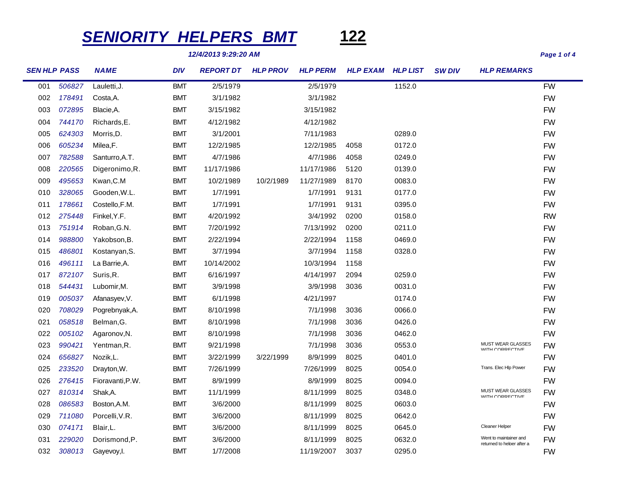## *SENIORITY HELPERS BMT* **122**

*12/4/2013 9:29:20 AM Page 1 of 4*

| <b>SEN HLP PASS</b> |        | <b>NAME</b>      | <b>DIV</b> | <b>REPORT DT</b> | <b>HLP PROV</b> | <b>HLP PERM</b> | <b>HLP EXAM</b> | <b>HLP LIST</b> | <b>SW DIV</b> | <b>HLP REMARKS</b>                                   |           |
|---------------------|--------|------------------|------------|------------------|-----------------|-----------------|-----------------|-----------------|---------------|------------------------------------------------------|-----------|
| 001                 | 506827 | Lauletti, J.     | <b>BMT</b> | 2/5/1979         |                 | 2/5/1979        |                 | 1152.0          |               |                                                      | <b>FW</b> |
| 002                 | 178491 | Costa, A.        | <b>BMT</b> | 3/1/1982         |                 | 3/1/1982        |                 |                 |               |                                                      | <b>FW</b> |
| 003                 | 072895 | Blacie, A.       | <b>BMT</b> | 3/15/1982        |                 | 3/15/1982       |                 |                 |               |                                                      | <b>FW</b> |
| 004                 | 744170 | Richards, E.     | <b>BMT</b> | 4/12/1982        |                 | 4/12/1982       |                 |                 |               |                                                      | <b>FW</b> |
| 005                 | 624303 | Morris, D.       | <b>BMT</b> | 3/1/2001         |                 | 7/11/1983       |                 | 0289.0          |               |                                                      | <b>FW</b> |
| 006                 | 605234 | Milea,F.         | <b>BMT</b> | 12/2/1985        |                 | 12/2/1985       | 4058            | 0172.0          |               |                                                      | <b>FW</b> |
| 007                 | 782588 | Santurro, A.T.   | <b>BMT</b> | 4/7/1986         |                 | 4/7/1986        | 4058            | 0249.0          |               |                                                      | <b>FW</b> |
| 008                 | 220565 | Digeronimo, R.   | <b>BMT</b> | 11/17/1986       |                 | 11/17/1986      | 5120            | 0139.0          |               |                                                      | <b>FW</b> |
| 009                 | 495653 | Kwan, C.M        | <b>BMT</b> | 10/2/1989        | 10/2/1989       | 11/27/1989      | 8170            | 0083.0          |               |                                                      | <b>FW</b> |
| 010                 | 328065 | Gooden, W.L.     | <b>BMT</b> | 1/7/1991         |                 | 1/7/1991        | 9131            | 0177.0          |               |                                                      | <b>FW</b> |
| 011                 | 178661 | Costello, F.M.   | <b>BMT</b> | 1/7/1991         |                 | 1/7/1991        | 9131            | 0395.0          |               |                                                      | <b>FW</b> |
| 012                 | 275448 | Finkel, Y.F.     | <b>BMT</b> | 4/20/1992        |                 | 3/4/1992        | 0200            | 0158.0          |               |                                                      | <b>RW</b> |
| 013                 | 751914 | Roban, G.N.      | <b>BMT</b> | 7/20/1992        |                 | 7/13/1992       | 0200            | 0211.0          |               |                                                      | <b>FW</b> |
| 014                 | 988800 | Yakobson, B.     | <b>BMT</b> | 2/22/1994        |                 | 2/22/1994       | 1158            | 0469.0          |               |                                                      | <b>FW</b> |
| 015                 | 486801 | Kostanyan, S.    | <b>BMT</b> | 3/7/1994         |                 | 3/7/1994        | 1158            | 0328.0          |               |                                                      | <b>FW</b> |
| 016                 | 496111 | La Barrie, A.    | <b>BMT</b> | 10/14/2002       |                 | 10/3/1994       | 1158            |                 |               |                                                      | <b>FW</b> |
| 017                 | 872107 | Suris, R.        | <b>BMT</b> | 6/16/1997        |                 | 4/14/1997       | 2094            | 0259.0          |               |                                                      | <b>FW</b> |
| 018                 | 544431 | Lubomir, M.      | <b>BMT</b> | 3/9/1998         |                 | 3/9/1998        | 3036            | 0031.0          |               |                                                      | <b>FW</b> |
| 019                 | 005037 | Afanasyev, V.    | <b>BMT</b> | 6/1/1998         |                 | 4/21/1997       |                 | 0174.0          |               |                                                      | <b>FW</b> |
| 020                 | 708029 | Pogrebnyak, A.   | <b>BMT</b> | 8/10/1998        |                 | 7/1/1998        | 3036            | 0066.0          |               |                                                      | <b>FW</b> |
| 021                 | 058518 | Belman, G.       | <b>BMT</b> | 8/10/1998        |                 | 7/1/1998        | 3036            | 0426.0          |               |                                                      | <b>FW</b> |
| 022                 | 005102 | Agaronov, N.     | <b>BMT</b> | 8/10/1998        |                 | 7/1/1998        | 3036            | 0462.0          |               |                                                      | <b>FW</b> |
| 023                 | 990421 | Yentman, R.      | <b>BMT</b> | 9/21/1998        |                 | 7/1/1998        | 3036            | 0553.0          |               | MUST WEAR GLASSES<br><b>WITH CORRECTIVE</b>          | <b>FW</b> |
| 024                 | 656827 | Nozik,L.         | <b>BMT</b> | 3/22/1999        | 3/22/1999       | 8/9/1999        | 8025            | 0401.0          |               |                                                      | <b>FW</b> |
| 025                 | 233520 | Drayton, W.      | <b>BMT</b> | 7/26/1999        |                 | 7/26/1999       | 8025            | 0054.0          |               | Trans. Elec Hlp Power                                | <b>FW</b> |
| 026                 | 276415 | Fioravanti, P.W. | <b>BMT</b> | 8/9/1999         |                 | 8/9/1999        | 8025            | 0094.0          |               |                                                      | <b>FW</b> |
| 027                 | 810314 | Shak, A.         | <b>BMT</b> | 11/1/1999        |                 | 8/11/1999       | 8025            | 0348.0          |               | <b>MUST WEAR GLASSES</b><br><b>WITH CORRECTIVE</b>   | <b>FW</b> |
| 028                 | 086583 | Boston, A.M.     | <b>BMT</b> | 3/6/2000         |                 | 8/11/1999       | 8025            | 0603.0          |               |                                                      | <b>FW</b> |
| 029                 | 711080 | Porcelli, V.R.   | <b>BMT</b> | 3/6/2000         |                 | 8/11/1999       | 8025            | 0642.0          |               |                                                      | <b>FW</b> |
| 030                 | 074171 | Blair, L.        | <b>BMT</b> | 3/6/2000         |                 | 8/11/1999       | 8025            | 0645.0          |               | Cleaner Helper                                       | <b>FW</b> |
| 031                 | 229020 | Dorismond, P.    | <b>BMT</b> | 3/6/2000         |                 | 8/11/1999       | 8025            | 0632.0          |               | Went to maintainer and<br>returned to helner after a | <b>FW</b> |
| 032                 | 308013 | Gayevoy, I.      | <b>BMT</b> | 1/7/2008         |                 | 11/19/2007      | 3037            | 0295.0          |               |                                                      | FW        |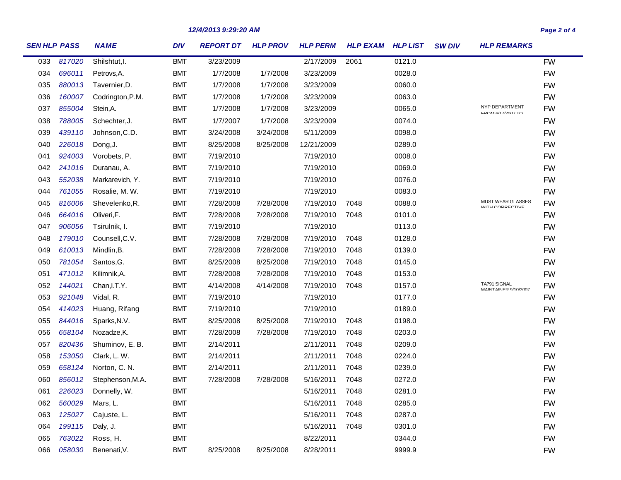## *12/4/2013 9:29:20 AM Page 2 of 4*

| <b>SEN HLP PASS</b> |        | <b>NAME</b>      | <b>DIV</b> | <b>REPORT DT</b> | <b>HLP PROV</b> | <b>HLP PERM</b> | <b>HLP EXAM</b> | <b>HLP LIST</b> | <b>SW DIV</b> | <b>HLP REMARKS</b>                                 |           |
|---------------------|--------|------------------|------------|------------------|-----------------|-----------------|-----------------|-----------------|---------------|----------------------------------------------------|-----------|
| 033                 | 817020 | Shilshtut, I.    | <b>BMT</b> | 3/23/2009        |                 | 2/17/2009       | 2061            | 0121.0          |               |                                                    | <b>FW</b> |
| 034                 | 696011 | Petrovs, A.      | <b>BMT</b> | 1/7/2008         | 1/7/2008        | 3/23/2009       |                 | 0028.0          |               |                                                    | <b>FW</b> |
| 035                 | 880013 | Tavernier, D.    | <b>BMT</b> | 1/7/2008         | 1/7/2008        | 3/23/2009       |                 | 0060.0          |               |                                                    | <b>FW</b> |
| 036                 | 160007 | Codrington, P.M. | <b>BMT</b> | 1/7/2008         | 1/7/2008        | 3/23/2009       |                 | 0063.0          |               |                                                    | <b>FW</b> |
| 037                 | 855004 | Stein, A.        | <b>BMT</b> | 1/7/2008         | 1/7/2008        | 3/23/2009       |                 | 0065.0          |               | NYP DEPARTMENT<br>FROM 6/17/2007 TO                | <b>FW</b> |
| 038                 | 788005 | Schechter, J.    | <b>BMT</b> | 1/7/2007         | 1/7/2008        | 3/23/2009       |                 | 0074.0          |               |                                                    | <b>FW</b> |
| 039                 | 439110 | Johnson, C.D.    | <b>BMT</b> | 3/24/2008        | 3/24/2008       | 5/11/2009       |                 | 0098.0          |               |                                                    | <b>FW</b> |
| 040                 | 226018 | Dong, J.         | <b>BMT</b> | 8/25/2008        | 8/25/2008       | 12/21/2009      |                 | 0289.0          |               |                                                    | <b>FW</b> |
| 041                 | 924003 | Vorobets, P.     | <b>BMT</b> | 7/19/2010        |                 | 7/19/2010       |                 | 0008.0          |               |                                                    | <b>FW</b> |
| 042                 | 241016 | Duranau, A.      | <b>BMT</b> | 7/19/2010        |                 | 7/19/2010       |                 | 0069.0          |               |                                                    | <b>FW</b> |
| 043                 | 552038 | Markarevich, Y.  | <b>BMT</b> | 7/19/2010        |                 | 7/19/2010       |                 | 0076.0          |               |                                                    | <b>FW</b> |
| 044                 | 761055 | Rosalie, M. W.   | <b>BMT</b> | 7/19/2010        |                 | 7/19/2010       |                 | 0083.0          |               |                                                    | <b>FW</b> |
| 045                 | 816006 | Shevelenko, R.   | <b>BMT</b> | 7/28/2008        | 7/28/2008       | 7/19/2010       | 7048            | 0088.0          |               | <b>MUST WEAR GLASSES</b><br><b>WITH CORRECTIVE</b> | <b>FW</b> |
| 046                 | 664016 | Oliveri, F.      | <b>BMT</b> | 7/28/2008        | 7/28/2008       | 7/19/2010       | 7048            | 0101.0          |               |                                                    | <b>FW</b> |
| 047                 | 906056 | Tsirulnik, I.    | <b>BMT</b> | 7/19/2010        |                 | 7/19/2010       |                 | 0113.0          |               |                                                    | <b>FW</b> |
| 048                 | 179010 | Counsell, C.V.   | <b>BMT</b> | 7/28/2008        | 7/28/2008       | 7/19/2010       | 7048            | 0128.0          |               |                                                    | <b>FW</b> |
| 049                 | 610013 | Mindlin, B.      | <b>BMT</b> | 7/28/2008        | 7/28/2008       | 7/19/2010       | 7048            | 0139.0          |               |                                                    | <b>FW</b> |
| 050                 | 781054 | Santos, G.       | <b>BMT</b> | 8/25/2008        | 8/25/2008       | 7/19/2010       | 7048            | 0145.0          |               |                                                    | <b>FW</b> |
| 051                 | 471012 | Kilimnik, A.     | <b>BMT</b> | 7/28/2008        | 7/28/2008       | 7/19/2010       | 7048            | 0153.0          |               |                                                    | <b>FW</b> |
| 052                 | 144021 | Chan, I.T.Y.     | <b>BMT</b> | 4/14/2008        | 4/14/2008       | 7/19/2010       | 7048            | 0157.0          |               | TA791 SIGNAL<br>ΜΔΙΝΙΤΔΙΝΙΕΙΡ Ω/10/2007            | <b>FW</b> |
| 053                 | 921048 | Vidal, R.        | <b>BMT</b> | 7/19/2010        |                 | 7/19/2010       |                 | 0177.0          |               |                                                    | <b>FW</b> |
| 054                 | 414023 | Huang, Rifang    | <b>BMT</b> | 7/19/2010        |                 | 7/19/2010       |                 | 0189.0          |               |                                                    | <b>FW</b> |
| 055                 | 844016 | Sparks, N.V.     | <b>BMT</b> | 8/25/2008        | 8/25/2008       | 7/19/2010       | 7048            | 0198.0          |               |                                                    | <b>FW</b> |
| 056                 | 658104 | Nozadze, K.      | <b>BMT</b> | 7/28/2008        | 7/28/2008       | 7/19/2010       | 7048            | 0203.0          |               |                                                    | <b>FW</b> |
| 057                 | 820436 | Shuminov, E. B.  | <b>BMT</b> | 2/14/2011        |                 | 2/11/2011       | 7048            | 0209.0          |               |                                                    | <b>FW</b> |
| 058                 | 153050 | Clark, L. W.     | <b>BMT</b> | 2/14/2011        |                 | 2/11/2011       | 7048            | 0224.0          |               |                                                    | <b>FW</b> |
| 059                 | 658124 | Norton, C. N.    | <b>BMT</b> | 2/14/2011        |                 | 2/11/2011       | 7048            | 0239.0          |               |                                                    | <b>FW</b> |
| 060                 | 856012 | Stephenson, M.A. | <b>BMT</b> | 7/28/2008        | 7/28/2008       | 5/16/2011       | 7048            | 0272.0          |               |                                                    | <b>FW</b> |
| 061                 | 226023 | Donnelly, W.     | <b>BMT</b> |                  |                 | 5/16/2011       | 7048            | 0281.0          |               |                                                    | <b>FW</b> |
| 062                 |        | 560029 Mars, L.  | <b>BMT</b> |                  |                 | 5/16/2011       | 7048            | 0285.0          |               |                                                    | <b>FW</b> |
| 063                 | 125027 | Cajuste, L.      | <b>BMT</b> |                  |                 | 5/16/2011       | 7048            | 0287.0          |               |                                                    | <b>FW</b> |
| 064                 | 199115 | Daly, J.         | <b>BMT</b> |                  |                 | 5/16/2011 7048  |                 | 0301.0          |               |                                                    | <b>FW</b> |
| 065                 | 763022 | Ross, H.         | <b>BMT</b> |                  |                 | 8/22/2011       |                 | 0344.0          |               |                                                    | <b>FW</b> |
| 066                 | 058030 | Benenati, V.     | <b>BMT</b> | 8/25/2008        | 8/25/2008       | 8/28/2011       |                 | 9999.9          |               |                                                    | <b>FW</b> |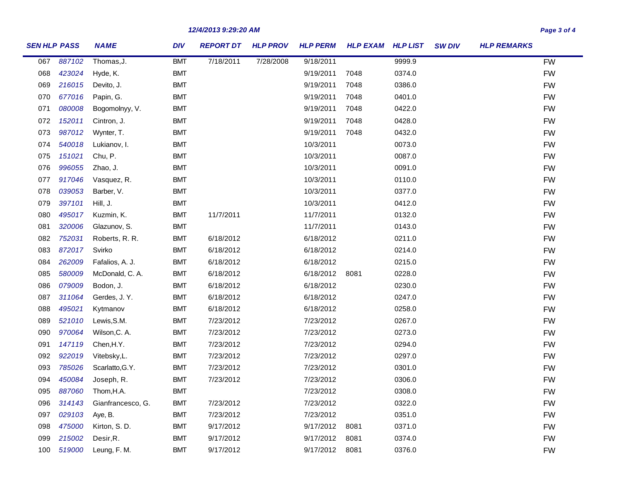## *12/4/2013 9:29:20 AM Page 3 of 4*

| <b>SEN HLP PASS</b> |        | <b>NAME</b>       | <b>DIV</b> | <b>REPORT DT</b> | <b>HLP PROV</b> | <b>HLP PERM</b> | <b>HLP EXAM</b> | <b>HLP LIST</b> | <b>SW DIV</b> | <b>HLP REMARKS</b> |           |
|---------------------|--------|-------------------|------------|------------------|-----------------|-----------------|-----------------|-----------------|---------------|--------------------|-----------|
| 067                 | 887102 | Thomas, J.        | <b>BMT</b> | 7/18/2011        | 7/28/2008       | 9/18/2011       |                 | 9999.9          |               |                    | <b>FW</b> |
| 068                 | 423024 | Hyde, K.          | <b>BMT</b> |                  |                 | 9/19/2011       | 7048            | 0374.0          |               |                    | <b>FW</b> |
| 069                 | 216015 | Devito, J.        | <b>BMT</b> |                  |                 | 9/19/2011       | 7048            | 0386.0          |               |                    | <b>FW</b> |
| 070                 | 677016 | Papin, G.         | <b>BMT</b> |                  |                 | 9/19/2011       | 7048            | 0401.0          |               |                    | <b>FW</b> |
| 071                 | 080008 | Bogomolnyy, V.    | <b>BMT</b> |                  |                 | 9/19/2011       | 7048            | 0422.0          |               |                    | <b>FW</b> |
| 072                 | 152011 | Cintron, J.       | <b>BMT</b> |                  |                 | 9/19/2011       | 7048            | 0428.0          |               |                    | <b>FW</b> |
| 073                 | 987012 | Wynter, T.        | <b>BMT</b> |                  |                 | 9/19/2011       | 7048            | 0432.0          |               |                    | <b>FW</b> |
| 074                 | 540018 | Lukianov, I.      | <b>BMT</b> |                  |                 | 10/3/2011       |                 | 0073.0          |               |                    | <b>FW</b> |
| 075                 | 151021 | Chu, P.           | <b>BMT</b> |                  |                 | 10/3/2011       |                 | 0087.0          |               |                    | <b>FW</b> |
| 076                 | 996055 | Zhao, J.          | <b>BMT</b> |                  |                 | 10/3/2011       |                 | 0091.0          |               |                    | <b>FW</b> |
| 077                 | 917046 | Vasquez, R.       | <b>BMT</b> |                  |                 | 10/3/2011       |                 | 0110.0          |               |                    | <b>FW</b> |
| 078                 | 039053 | Barber, V.        | <b>BMT</b> |                  |                 | 10/3/2011       |                 | 0377.0          |               |                    | <b>FW</b> |
| 079                 | 397101 | Hill, J.          | <b>BMT</b> |                  |                 | 10/3/2011       |                 | 0412.0          |               |                    | <b>FW</b> |
| 080                 | 495017 | Kuzmin, K.        | <b>BMT</b> | 11/7/2011        |                 | 11/7/2011       |                 | 0132.0          |               |                    | <b>FW</b> |
| 081                 | 320006 | Glazunov, S.      | <b>BMT</b> |                  |                 | 11/7/2011       |                 | 0143.0          |               |                    | <b>FW</b> |
| 082                 | 752031 | Roberts, R. R.    | <b>BMT</b> | 6/18/2012        |                 | 6/18/2012       |                 | 0211.0          |               |                    | <b>FW</b> |
| 083                 | 872017 | Svirko            | <b>BMT</b> | 6/18/2012        |                 | 6/18/2012       |                 | 0214.0          |               |                    | <b>FW</b> |
| 084                 | 262009 | Fafalios, A. J.   | <b>BMT</b> | 6/18/2012        |                 | 6/18/2012       |                 | 0215.0          |               |                    | <b>FW</b> |
| 085                 | 580009 | McDonald, C. A.   | <b>BMT</b> | 6/18/2012        |                 | 6/18/2012       | 8081            | 0228.0          |               |                    | <b>FW</b> |
| 086                 | 079009 | Bodon, J.         | <b>BMT</b> | 6/18/2012        |                 | 6/18/2012       |                 | 0230.0          |               |                    | <b>FW</b> |
| 087                 | 311064 | Gerdes, J.Y.      | <b>BMT</b> | 6/18/2012        |                 | 6/18/2012       |                 | 0247.0          |               |                    | <b>FW</b> |
| 088                 | 495021 | Kytmanov          | <b>BMT</b> | 6/18/2012        |                 | 6/18/2012       |                 | 0258.0          |               |                    | <b>FW</b> |
| 089                 | 521010 | Lewis, S.M.       | <b>BMT</b> | 7/23/2012        |                 | 7/23/2012       |                 | 0267.0          |               |                    | <b>FW</b> |
| 090                 | 970064 | Wilson, C. A.     | <b>BMT</b> | 7/23/2012        |                 | 7/23/2012       |                 | 0273.0          |               |                    | <b>FW</b> |
| 091                 | 147119 | Chen, H.Y.        | <b>BMT</b> | 7/23/2012        |                 | 7/23/2012       |                 | 0294.0          |               |                    | <b>FW</b> |
| 092                 | 922019 | Vitebsky,L.       | <b>BMT</b> | 7/23/2012        |                 | 7/23/2012       |                 | 0297.0          |               |                    | <b>FW</b> |
| 093                 | 785026 | Scarlatto, G.Y.   | <b>BMT</b> | 7/23/2012        |                 | 7/23/2012       |                 | 0301.0          |               |                    | <b>FW</b> |
| 094                 | 450084 | Joseph, R.        | <b>BMT</b> | 7/23/2012        |                 | 7/23/2012       |                 | 0306.0          |               |                    | <b>FW</b> |
| 095                 | 887060 | Thom,H.A.         | <b>BMT</b> |                  |                 | 7/23/2012       |                 | 0308.0          |               |                    | <b>FW</b> |
| 096                 | 314143 | Gianfrancesco, G. | <b>BMT</b> | 7/23/2012        |                 | 7/23/2012       |                 | 0322.0          |               |                    | <b>FW</b> |
| 097                 | 029103 | Aye, B.           | <b>BMT</b> | 7/23/2012        |                 | 7/23/2012       |                 | 0351.0          |               |                    | <b>FW</b> |
| 098                 | 475000 | Kirton, S.D.      | <b>BMT</b> | 9/17/2012        |                 | 9/17/2012       | 8081            | 0371.0          |               |                    | <b>FW</b> |
| 099                 | 215002 | Desir, R.         | <b>BMT</b> | 9/17/2012        |                 | 9/17/2012       | 8081            | 0374.0          |               |                    | <b>FW</b> |
| 100                 | 519000 | Leung, F. M.      | <b>BMT</b> | 9/17/2012        |                 | 9/17/2012 8081  |                 | 0376.0          |               |                    | <b>FW</b> |